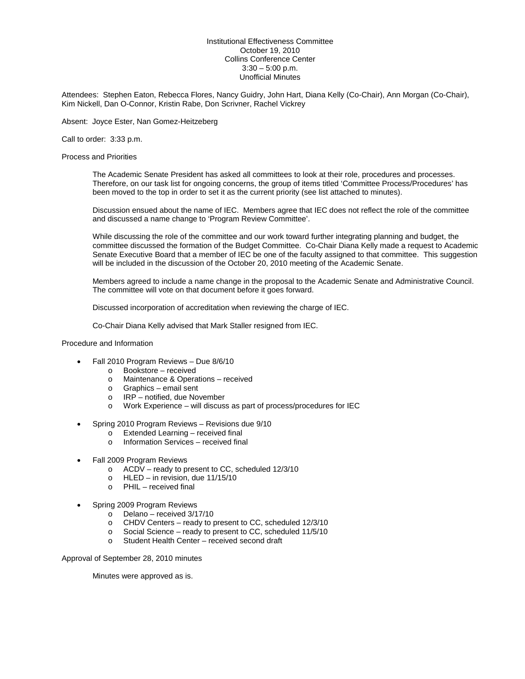## Institutional Effectiveness Committee October 19, 2010 Collins Conference Center  $3:30 - 5:00$  p.m. Unofficial Minutes

Attendees: Stephen Eaton, Rebecca Flores, Nancy Guidry, John Hart, Diana Kelly (Co-Chair), Ann Morgan (Co-Chair), Kim Nickell, Dan O-Connor, Kristin Rabe, Don Scrivner, Rachel Vickrey

Absent: Joyce Ester, Nan Gomez-Heitzeberg

Call to order: 3:33 p.m.

Process and Priorities

The Academic Senate President has asked all committees to look at their role, procedures and processes. Therefore, on our task list for ongoing concerns, the group of items titled 'Committee Process/Procedures' has been moved to the top in order to set it as the current priority (see list attached to minutes).

Discussion ensued about the name of IEC. Members agree that IEC does not reflect the role of the committee and discussed a name change to 'Program Review Committee'.

While discussing the role of the committee and our work toward further integrating planning and budget, the committee discussed the formation of the Budget Committee. Co-Chair Diana Kelly made a request to Academic Senate Executive Board that a member of IEC be one of the faculty assigned to that committee. This suggestion will be included in the discussion of the October 20, 2010 meeting of the Academic Senate.

Members agreed to include a name change in the proposal to the Academic Senate and Administrative Council. The committee will vote on that document before it goes forward.

Discussed incorporation of accreditation when reviewing the charge of IEC.

Co-Chair Diana Kelly advised that Mark Staller resigned from IEC.

Procedure and Information

- Fall 2010 Program Reviews Due 8/6/10
	- o Bookstore received
	- o Maintenance & Operations received
	- o Graphics email sent
	- o IRP notified, due November
	- o Work Experience will discuss as part of process/procedures for IEC
- Spring 2010 Program Reviews Revisions due 9/10
	- $\overline{\circ}$  Extended Learning received final<br>  $\overline{\circ}$  Information Services received final
		- Information Services received final
- Fall 2009 Program Reviews
	- o ACDV ready to present to CC, scheduled 12/3/10
	- o HLED in revision, due 11/15/10
	- o PHIL received final
- Spring 2009 Program Reviews
	- $\circ$  Delano received 3/17/10<br>  $\circ$  CHDV Centers ready to p
	- CHDV Centers ready to present to CC, scheduled  $12/3/10$ <br>○ Social Science ready to present to CC, scheduled  $11/5/10$
	- $\circ$  Social Science ready to present to CC, scheduled 11/5/10<br>
	Student Health Center received second draft
	- Student Health Center received second draft

Approval of September 28, 2010 minutes

Minutes were approved as is.